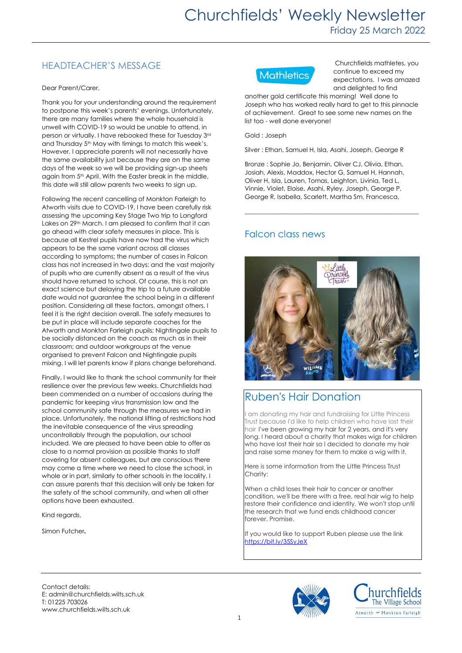## HEADTEACHER'S MESSAGE

Dear Parent/Carer,

Thank you for your understanding around the requirement to postpone this week's parents' evenings. Unfortunately, there are many families where the whole household is unwell with COVID-19 so would be unable to attend, in person or virtually. I have rebooked these for Tuesday 3rd and Thursday 5<sup>th</sup> May with timings to match this week's. However, I appreciate parents will not necessarily have the same availability just because they are on the same days of the week so we will be providing sign-up sheets again from 5<sup>th</sup> April. With the Easter break in the middle, this date will still allow parents two weeks to sign up.

Following the recent cancelling of Monkton Farleigh to Atworth visits due to COVID-19, I have been carefully risk assessing the upcoming Key Stage Two trip to Langford Lakes on 29<sup>th</sup> March. I am pleased to confirm that it can go ahead with clear safety measures in place. This is because all Kestrel pupils have now had the virus which appears to be the same variant across all classes according to symptoms; the number of cases in Falcon class has not increased in two days; and the vast majority of pupils who are currently absent as a result of the virus should have returned to school. Of course, this is not an exact science but delaying the trip to a future available date would not guarantee the school being in a different position. Considering all these factors, amongst others, I feel it is the right decision overall. The safety measures to be put in place will include separate coaches for the Atworth and Monkton Farleigh pupils; Nightingale pupils to be socially distanced on the coach as much as in their classroom; and outdoor workgroups at the venue organised to prevent Falcon and Nightingale pupils mixing. I will let parents know if plans change beforehand.

Finally, I would like to thank the school community for their resilience over the previous few weeks. Churchfields had been commended on a number of occasions during the pandemic for keeping virus transmission low and the school community safe through the measures we had in place. Unfortunately, the national lifting of restrictions had the inevitable consequence of the virus spreading uncontrollably through the population, our school included. We are pleased to have been able to offer as close to a normal provision as possible thanks to staff covering for absent colleagues, but are conscious there may come a time where we need to close the school, in whole or in part, similarly to other schools in the locality. I can assure parents that this decision will only be taken for the safety of the school community, and when all other options have been exhausted.

Kind regards,

Simon Futcher.



Churchfields mathletes, you continue to exceed my expectations. I was amazed and delighted to find

another gold certificate this morning! Well done to Joseph who has worked really hard to get to this pinnacle of achievement. Great to see some new names on the list too - well done everyone!

Gold : Joseph

Silver : Ethan, Samuel H, Isla, Asahi, Joseph, George R

Bronze : Sophie Jo, Benjamin, Oliver CJ, Olivia, Ethan, Josiah, Alexis, Maddox, Hector G, Samuel H, Hannah, Oliver H, Isla, Lauren, Tomas, Leighton, Livinia, Ted L, Vinnie, Violet, Eloise, Asahi, Ryley, Joseph, George P, George R, Isabella, Scarlett, Martha Sm, Francesca,

**\_\_\_\_\_\_\_\_\_\_\_\_\_\_\_\_\_\_\_\_\_\_\_\_\_\_\_\_\_\_\_\_\_\_\_\_\_\_\_\_\_\_\_\_\_\_\_\_\_\_\_\_\_\_\_\_**

### Falcon class news



# Ruben's Hair Donation

am donating my hair and fundraising for Little Princess Trust because I'd like to help children who have lost their hair I've been growing my hair for 2 years, and it's very long. I heard about a charity that makes wigs for children who have lost their hair so I decided to donate my hair and raise some money for them to make a wig with it.

Here is some information from the Little Princess Trust Charity:

When a child loses their hair to cancer or another condition, we'll be there with a free, real hair wig to help restore their confidence and identity. We won't stop until the research that we fund ends childhood cancer forever. Promise.

If you would like to support Ruben please use the link <https://bit.ly/35SyJeX>

Contact details: E: admin@churchfields.wilts.sch.uk T: 01225 703026 www.churchfields.wilts.sch.uk



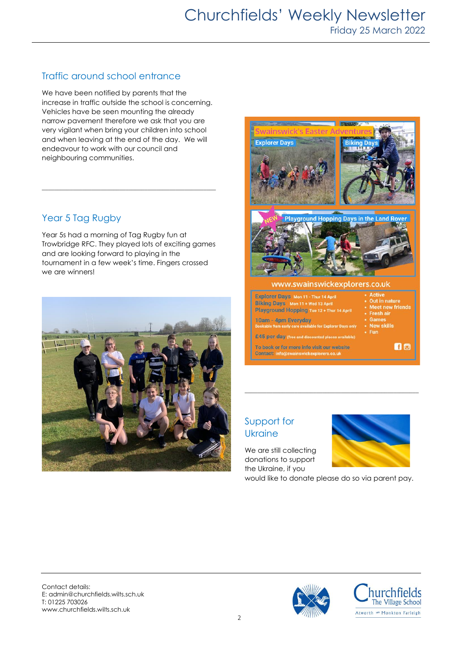## Traffic around school entrance

We have been notified by parents that the increase in traffic outside the school is concerning. Vehicles have be seen mounting the already narrow pavement therefore we ask that you are very vigilant when bring your children into school and when leaving at the end of the day. We will endeavour to work with our council and neighbouring communities.

#### Year 5 Tag Rugby

Year 5s had a morning of Tag Rugby fun at Trowbridge RFC. They played lots of exciting games and are looking forward to playing in the tournament in a few week's time. Fingers crossed we are winners!

\_\_\_\_\_\_\_\_\_\_\_\_\_\_\_\_\_\_\_\_\_\_\_\_\_\_\_\_\_\_\_\_\_\_\_\_\_\_\_\_\_\_\_\_\_\_\_\_\_\_\_\_\_\_\_\_





#### Support for **Ukraine**

We are still collecting donations to support the Ukraine, if you

would like to donate please do so via parent pay.

\_\_\_\_\_\_\_\_\_\_\_\_\_\_\_\_\_\_\_\_\_\_\_\_\_\_\_\_\_\_\_\_\_\_\_\_\_\_\_\_\_\_\_\_\_\_\_\_\_\_\_\_\_\_\_\_

Contact details: E: admin@churchfields.wilts.sch.uk T: 01225 703026 www.churchfields.wilts.sch.uk